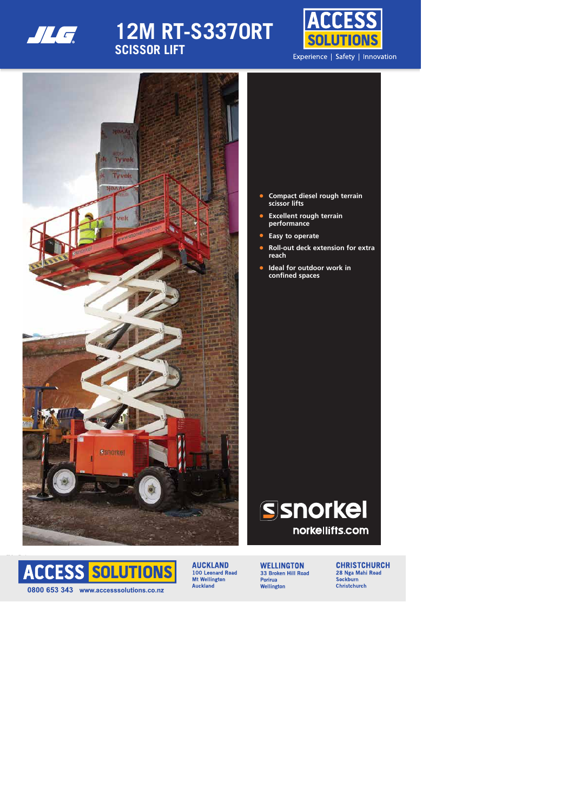

# **12M RT-S3370RT SCISSOR LIFT**





- **• Compact diesel rough terrain scissor lifts**
- **• Excellent rough terrain performance**
- **• Easy to operate**
- **• Roll-out deck extension for extra reach**
- **• Ideal for outdoor work in confined spaces**





100 Leonard Road **Mt Wellington Auckland** 

**WELLINGTON** 33 Broken Hill Road **Porirua** Wellington

**CHRISTCHURCH** 28 Nga Mahi Road **Sockburn Christchurch**